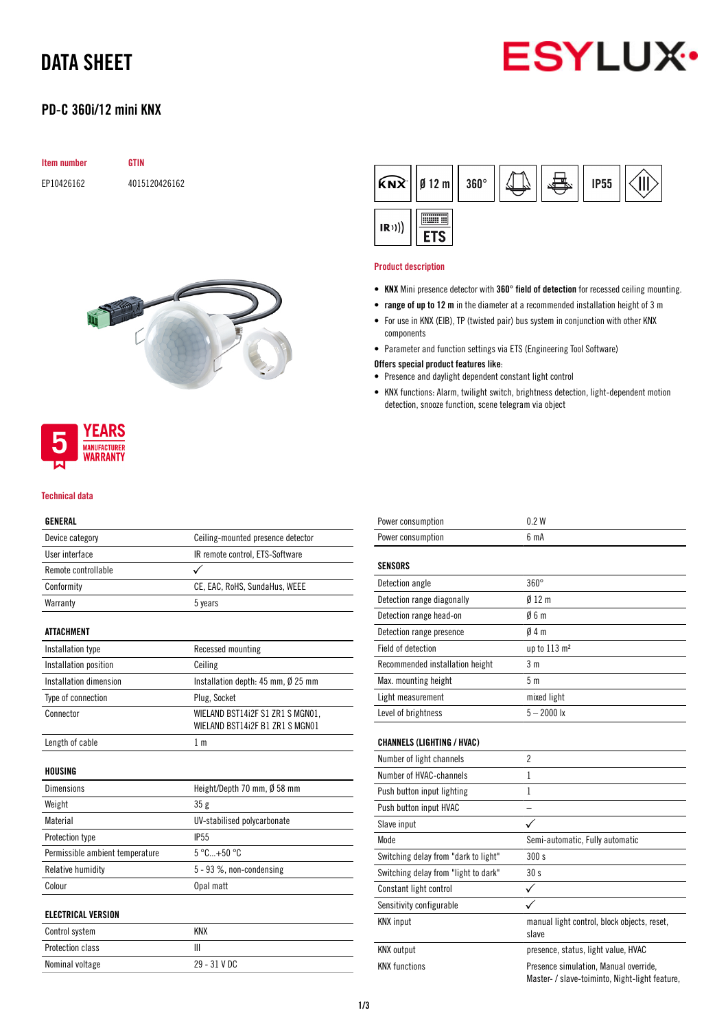# DATA SHEET

## PD-C 360i/12 mini KNX

| <b>Item number</b> | <b>GTIN</b>   |
|--------------------|---------------|
| EP10426162         | 4015120426162 |





### Technical data

## GENERAL

| Device category                 | Ceiling-mounted presence detector                                   |
|---------------------------------|---------------------------------------------------------------------|
| User interface                  | IR remote control, ETS-Software                                     |
| Remote controllable             | ✓                                                                   |
| Conformity                      | CE, EAC, RoHS, SundaHus, WEEE                                       |
| Warranty                        | 5 years                                                             |
| ATTACHMENT                      |                                                                     |
| Installation type               | Recessed mounting                                                   |
| Installation position           | Ceiling                                                             |
| Installation dimension          | Installation depth: 45 mm, Ø 25 mm                                  |
| Type of connection              | Plug, Socket                                                        |
| Connector                       | WIELAND BST14i2F S1 ZR1 S MGN01,<br>WIELAND BST14i2F B1 ZR1 S MGN01 |
| Length of cable                 | 1 <sub>m</sub>                                                      |
| HOUSING                         |                                                                     |
| <b>Dimensions</b>               | Height/Depth 70 mm, Ø 58 mm                                         |
| Weight                          | 35g                                                                 |
| Material                        | UV-stabilised polycarbonate                                         |
| Protection type                 | IP <sub>55</sub>                                                    |
| Permissible ambient temperature | $5^{\circ}$ C+50 $^{\circ}$ C                                       |
| Relative humidity               | 5 - 93 %, non-condensing                                            |
| Colour                          | Opal matt                                                           |
| <b>ELECTRICAL VERSION</b>       |                                                                     |
| Control system                  | <b>KNX</b>                                                          |
| Protection class                | Ш                                                                   |
| Nominal voltage                 | 29 - 31 V DC                                                        |



### Product description

- KNX Mini presence detector with 360° field of detection for recessed ceiling mounting.
- range of up to 12 m in the diameter at a recommended installation height of 3 m
- For use in KNX (EIB), TP (twisted pair) bus system in conjunction with other KNX components
- Parameter and function settings via ETS (Engineering Tool Software)

#### Offers special product features like:

- Presence and daylight dependent constant light control
- KNX functions: Alarm, twilight switch, brightness detection, light-dependent motion detection, snooze function, scene telegram via object

| Power consumption                    | 0.2W                                                                                    |
|--------------------------------------|-----------------------------------------------------------------------------------------|
| Power consumption                    | 6 <sub>m</sub> A                                                                        |
| <b>SENSORS</b>                       |                                                                                         |
| Detection angle                      | $360^\circ$                                                                             |
| Detection range diagonally           | 012 <sub>m</sub>                                                                        |
| Detection range head-on              | 06m                                                                                     |
| Detection range presence             | 04m                                                                                     |
| Field of detection                   | up to 113 m <sup>2</sup>                                                                |
| Recommended installation height      | 3 <sub>m</sub>                                                                          |
| Max. mounting height                 | 5 <sub>m</sub>                                                                          |
| Light measurement                    | mixed light                                                                             |
| Level of brightness                  | $5 - 2000$ lx                                                                           |
| <b>CHANNELS (LIGHTING / HVAC)</b>    |                                                                                         |
| Number of light channels             | $\overline{2}$                                                                          |
| Number of HVAC-channels              | $\mathbf{1}$                                                                            |
| Push button input lighting           | $\mathbf{1}$                                                                            |
| Push button input HVAC               |                                                                                         |
| Slave input                          |                                                                                         |
| Mode                                 | Semi-automatic, Fully automatic                                                         |
| Switching delay from "dark to light" | 300 s                                                                                   |
| Switching delay from "light to dark" | 30s                                                                                     |
| Constant light control               | ✓                                                                                       |
| Sensitivity configurable             |                                                                                         |
| <b>KNX</b> input                     | manual light control, block objects, reset,<br>slave                                    |
| <b>KNX</b> output                    | presence, status, light value, HVAC                                                     |
| <b>KNX functions</b>                 | Presence simulation, Manual override,<br>Master- / slave-toiminto, Night-light feature, |

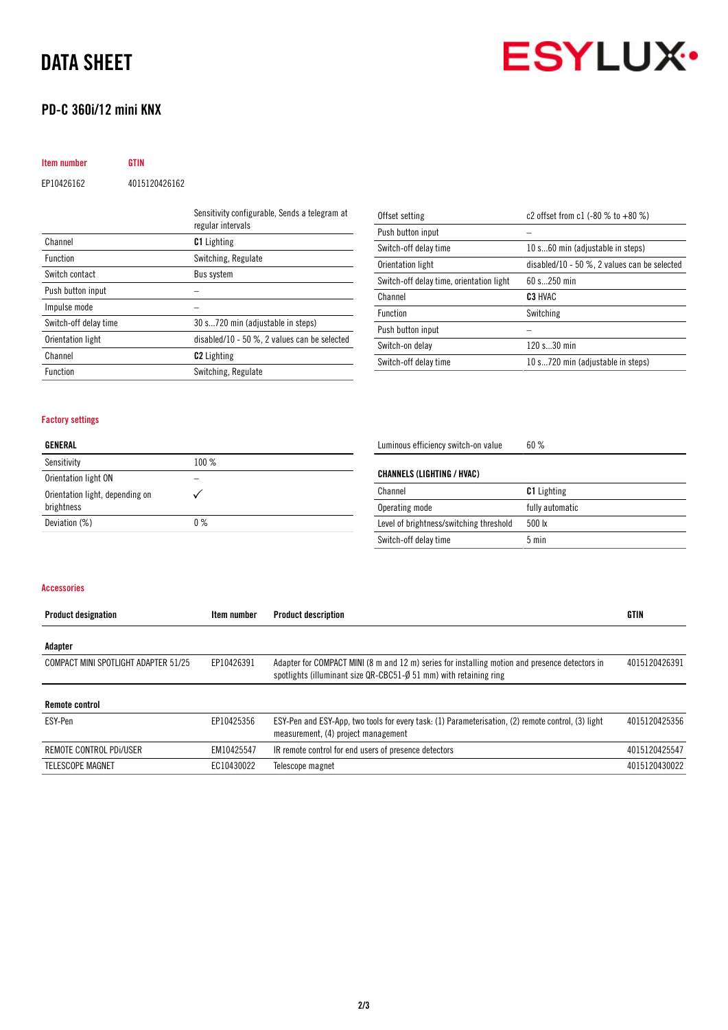# DATA SHEET

# PD-C 360i/12 mini KNX

# **ESYLUX**

| Item number | <b>GTIN</b>   |
|-------------|---------------|
| EP10426162  | 4015120426162 |

|                       | Sensitivity configurable, Sends a telegram at<br>regular intervals |
|-----------------------|--------------------------------------------------------------------|
| Channel               | <b>C1</b> Lighting                                                 |
| <b>Function</b>       | Switching, Regulate                                                |
| Switch contact        | Bus system                                                         |
| Push button input     |                                                                    |
| Impulse mode          |                                                                    |
| Switch-off delay time | 30 s720 min (adjustable in steps)                                  |
| Orientation light     | disabled/10 - 50 $\%$ , 2 values can be selected                   |
| Channel               | <b>C2</b> Lighting                                                 |
| <b>Function</b>       | Switching, Regulate                                                |
|                       |                                                                    |

| Offset setting                           | c2 offset from c1 $(-80 % to +80 %)$             |
|------------------------------------------|--------------------------------------------------|
| Push button input                        |                                                  |
| Switch-off delay time                    | 10 s60 min (adjustable in steps)                 |
| Orientation light                        | disabled/10 - 50 $\%$ , 2 values can be selected |
| Switch-off delay time, orientation light | $60 s$ 250 min                                   |
|                                          |                                                  |
| Channel                                  | C3 HVAC                                          |
| <b>Function</b>                          | Switching                                        |
| Push button input                        |                                                  |
| Switch-on delay                          | 120 s30 min                                      |

## Factory settings

| GENERAL                                       |      |  |
|-----------------------------------------------|------|--|
| Sensitivity                                   | 100% |  |
| Orientation light ON                          |      |  |
| Orientation light, depending on<br>brightness |      |  |

Deviation (%) 0 %

Luminous efficiency switch-on value 60 %

| CHANNELS (LIGHTING / HVAC)              |                    |
|-----------------------------------------|--------------------|
| Channel                                 | <b>C1</b> Lighting |
| Operating mode                          | fully automatic    |
| Level of brightness/switching threshold | $500 \text{ lx}$   |
| Switch-off delay time                   | $5 \text{ min}$    |

### Accessories

| <b>Product designation</b>           | Item number | <b>Product description</b>                                                                                                                                          | <b>GTIN</b>   |
|--------------------------------------|-------------|---------------------------------------------------------------------------------------------------------------------------------------------------------------------|---------------|
| Adapter                              |             |                                                                                                                                                                     |               |
| COMPACT MINI SPOTLIGHT ADAPTER 51/25 | EP10426391  | Adapter for COMPACT MINI (8 m and 12 m) series for installing motion and presence detectors in<br>spotlights (illuminant size QR-CBC51-Ø 51 mm) with retaining ring | 4015120426391 |
| <b>Remote control</b>                |             |                                                                                                                                                                     |               |
| ESY-Pen                              | EP10425356  | ESY-Pen and ESY-App, two tools for every task: (1) Parameterisation, (2) remote control, (3) light<br>measurement, (4) project management                           | 4015120425356 |
| REMOTE CONTROL PDI/USER              | EM10425547  | IR remote control for end users of presence detectors                                                                                                               | 4015120425547 |
| TELESCOPE MAGNET                     | EC10430022  | Telescope magnet                                                                                                                                                    | 4015120430022 |